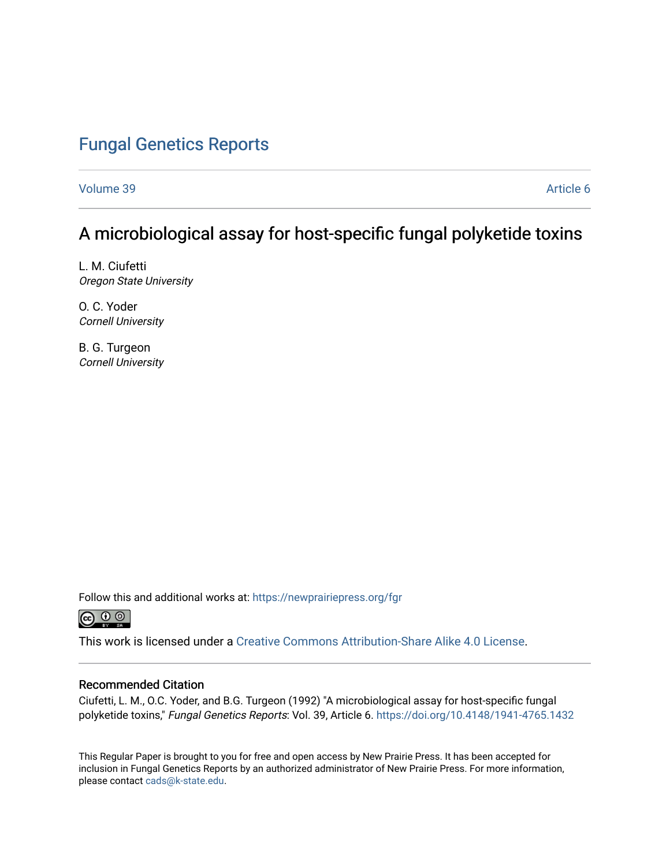## [Fungal Genetics Reports](https://newprairiepress.org/fgr)

[Volume 39](https://newprairiepress.org/fgr/vol39) [Article 6](https://newprairiepress.org/fgr/vol39/iss1/6) 

### A microbiological assay for host-specific fungal polyketide toxins

L. M. Ciufetti Oregon State University

O. C. Yoder Cornell University

B. G. Turgeon Cornell University

Follow this and additional works at: [https://newprairiepress.org/fgr](https://newprairiepress.org/fgr?utm_source=newprairiepress.org%2Ffgr%2Fvol39%2Fiss1%2F6&utm_medium=PDF&utm_campaign=PDFCoverPages) 



This work is licensed under a [Creative Commons Attribution-Share Alike 4.0 License.](https://creativecommons.org/licenses/by-sa/4.0/)

#### Recommended Citation

Ciufetti, L. M., O.C. Yoder, and B.G. Turgeon (1992) "A microbiological assay for host-specific fungal polyketide toxins," Fungal Genetics Reports: Vol. 39, Article 6.<https://doi.org/10.4148/1941-4765.1432>

This Regular Paper is brought to you for free and open access by New Prairie Press. It has been accepted for inclusion in Fungal Genetics Reports by an authorized administrator of New Prairie Press. For more information, please contact [cads@k-state.edu.](mailto:cads@k-state.edu)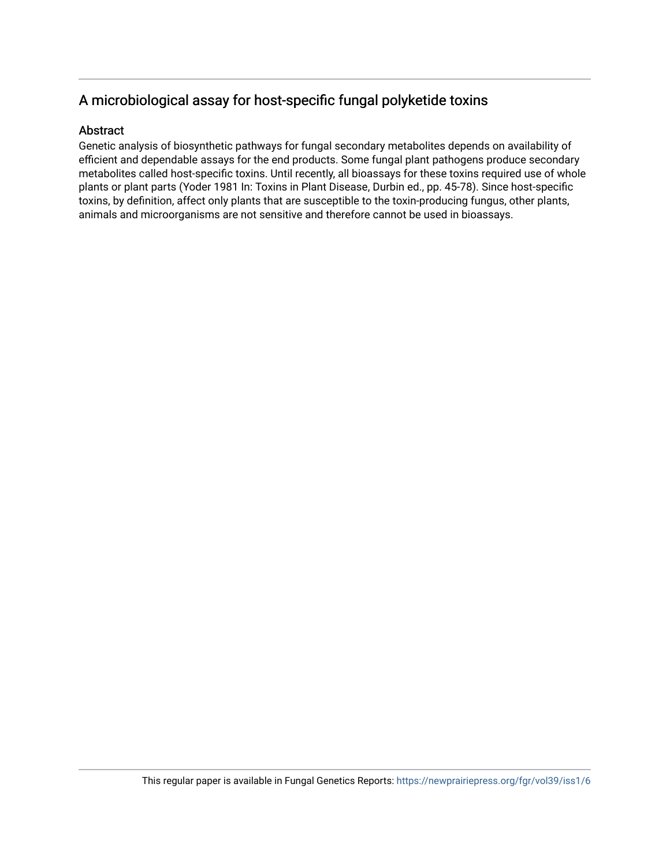#### A microbiological assay for host-specific fungal polyketide toxins

#### Abstract

Genetic analysis of biosynthetic pathways for fungal secondary metabolites depends on availability of efficient and dependable assays for the end products. Some fungal plant pathogens produce secondary metabolites called host-specific toxins. Until recently, all bioassays for these toxins required use of whole plants or plant parts (Yoder 1981 In: Toxins in Plant Disease, Durbin ed., pp. 45-78). Since host-specific toxins, by definition, affect only plants that are susceptible to the toxin-producing fungus, other plants, animals and microorganisms are not sensitive and therefore cannot be used in bioassays.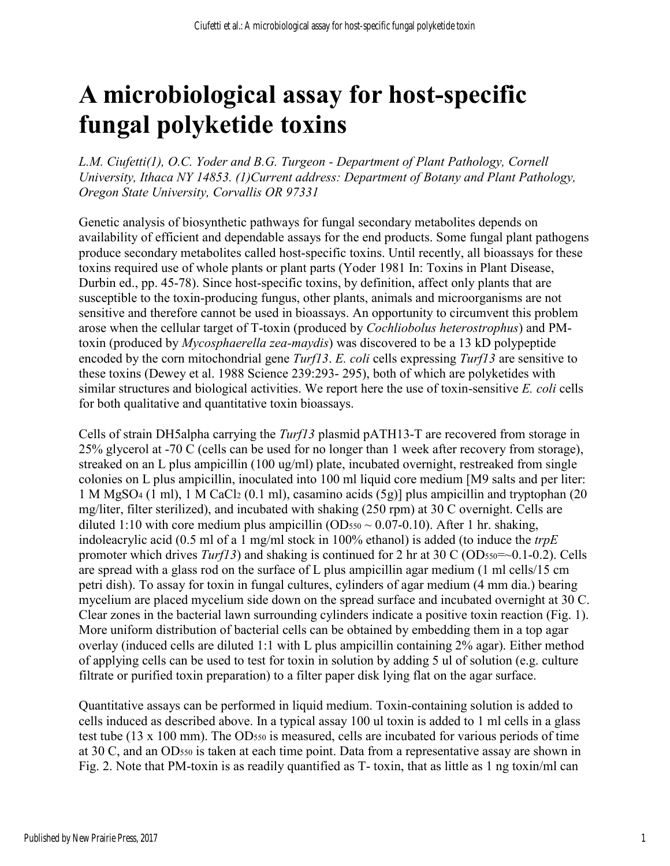# **A microbiological assay for host-specific fungal polyketide toxins**

*L.M. Ciufetti(1), O.C. Yoder and B.G. Turgeon - Department of Plant Pathology, Cornell University, Ithaca NY 14853. (1)Current address: Department of Botany and Plant Pathology, Oregon State University, Corvallis OR 97331* 

Genetic analysis of biosynthetic pathways for fungal secondary metabolites depends on availability of efficient and dependable assays for the end products. Some fungal plant pathogens produce secondary metabolites called host-specific toxins. Until recently, all bioassays for these toxins required use of whole plants or plant parts (Yoder 1981 In: Toxins in Plant Disease, Durbin ed., pp. 45-78). Since host-specific toxins, by definition, affect only plants that are susceptible to the toxin-producing fungus, other plants, animals and microorganisms are not sensitive and therefore cannot be used in bioassays. An opportunity to circumvent this problem arose when the cellular target of T-toxin (produced by *Cochliobolus heterostrophus*) and PMtoxin (produced by *Mycosphaerella zea-maydis*) was discovered to be a 13 kD polypeptide encoded by the corn mitochondrial gene *Turf13*. *E. coli* cells expressing *Turf13* are sensitive to these toxins (Dewey et al. 1988 Science 239:293- 295), both of which are polyketides with similar structures and biological activities. We report here the use of toxin-sensitive *E. coli* cells for both qualitative and quantitative toxin bioassays.

Cells of strain DH5alpha carrying the *Turf13* plasmid pATH13-T are recovered from storage in 25% glycerol at -70 C (cells can be used for no longer than 1 week after recovery from storage), streaked on an L plus ampicillin (100 ug/ml) plate, incubated overnight, restreaked from single colonies on L plus ampicillin, inoculated into 100 ml liquid core medium [M9 salts and per liter: 1 M MgSO<sup>4</sup> (1 ml), 1 M CaCl<sup>2</sup> (0.1 ml), casamino acids (5g)] plus ampicillin and tryptophan (20 mg/liter, filter sterilized), and incubated with shaking (250 rpm) at 30 C overnight. Cells are diluted 1:10 with core medium plus ampicillin (OD $_{550} \sim 0.07$ -0.10). After 1 hr. shaking, indoleacrylic acid (0.5 ml of a 1 mg/ml stock in 100% ethanol) is added (to induce the *trpE* promoter which drives *Turf13*) and shaking is continued for 2 hr at 30 C (OD $_{550}$ = $\sim$ 0.1-0.2). Cells are spread with a glass rod on the surface of L plus ampicillin agar medium (1 ml cells/15 cm petri dish). To assay for toxin in fungal cultures, cylinders of agar medium (4 mm dia.) bearing mycelium are placed mycelium side down on the spread surface and incubated overnight at 30 C. Clear zones in the bacterial lawn surrounding cylinders indicate a positive toxin reaction (Fig. 1). More uniform distribution of bacterial cells can be obtained by embedding them in a top agar overlay (induced cells are diluted 1:1 with L plus ampicillin containing 2% agar). Either method of applying cells can be used to test for toxin in solution by adding 5 ul of solution (e.g. culture filtrate or purified toxin preparation) to a filter paper disk lying flat on the agar surface.

Quantitative assays can be performed in liquid medium. Toxin-containing solution is added to cells induced as described above. In a typical assay 100 ul toxin is added to 1 ml cells in a glass test tube (13 x 100 mm). The OD550 is measured, cells are incubated for various periods of time at 30 C, and an OD550 is taken at each time point. Data from a representative assay are shown in Fig. 2. Note that PM-toxin is as readily quantified as T- toxin, that as little as 1 ng toxin/ml can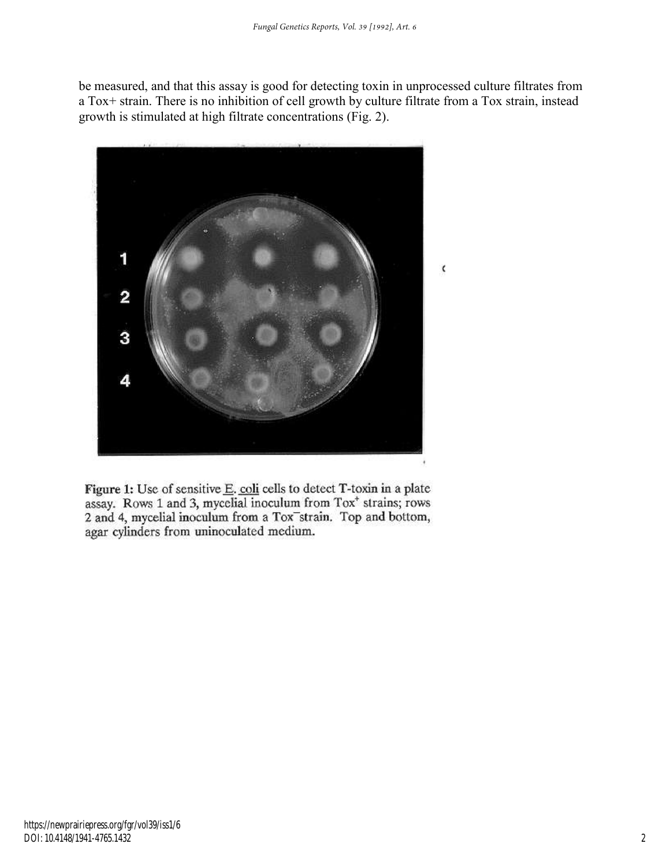be measured, and that this assay is good for detecting toxin in unprocessed culture filtrates from a Tox+ strain. There is no inhibition of cell growth by culture filtrate from a Tox strain, instead growth is stimulated at high filtrate concentrations (Fig. 2).



Figure 1: Use of sensitive E. coli cells to detect T-toxin in a plate assay. Rows 1 and 3, mycelial inoculum from Tox<sup>+</sup> strains; rows 2 and 4, mycelial inoculum from a Tox strain. Top and bottom, agar cylinders from uninoculated medium.